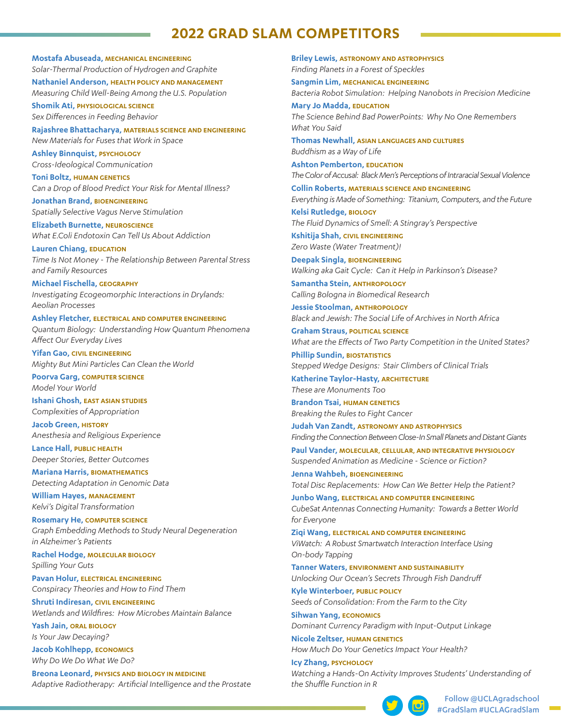# **2022 GRAD SLAM COMPETITORS**

**Mostafa Abuseada, MECHANICAL ENGINEERING**  *Solar-Thermal Production of Hydrogen and Graphite*

**Nathaniel Anderson, HEALTH POLICY AND MANAGEMENT**  *Measuring Child Well-Being Among the U.S. Population*

**Shomik Ati, PHYSIOLOGICAL SCIENCE** *Sex Differences in Feeding Behavior*

**Rajashree Bhattacharya, MATERIALS SCIENCE AND ENGINEERING**  *New Materials for Fuses that Work in Space*

**Ashley Binnquist, PSYCHOLOGY** *Cross-Ideological Communication*

**Toni Boltz, HUMAN GENETICS**  *Can a Drop of Blood Predict Your Risk for Mental Illness?* 

**Jonathan Brand, BIOENGINEERING**  *Spatially Selective Vagus Nerve Stimulation*

**Elizabeth Burnette, NEUROSCIENCE** *What E.Coli Endotoxin Can Tell Us About Addiction*

**Lauren Chiang, EDUCATION** *Time Is Not Money - The Relationship Between Parental Stress and Family Resources*

**Michael Fischella, GEOGRAPHY** *Investigating Ecogeomorphic Interactions in Drylands: Aeolian Processes*

**Ashley Fletcher, ELECTRICAL AND COMPUTER ENGINEERING** *Quantum Biology: Understanding How Quantum Phenomena Affect Our Everyday Lives*

**Yifan Gao, CIVIL ENGINEERING**  *Mighty But Mini Particles Can Clean the World*

**Poorva Garg, COMPUTER SCIENCE** *Model Your World*

**Ishani Ghosh, EAST ASIAN STUDIES** *Complexities of Appropriation*

**Jacob Green, HISTORY** *Anesthesia and Religious Experience*

**Lance Hall, PUBLIC HEALTH** *Deeper Stories, Better Outcomes*

**Mariana Harris, BIOMATHEMATICS** *Detecting Adaptation in Genomic Data*

**William Hayes, MANAGEMENT** *Kelvi's Digital Transformation*

**Rosemary He, COMPUTER SCIENCE**  *Graph Embedding Methods to Study Neural Degeneration in Alzheimer's Patients*

**Rachel Hodge, MOLECULAR BIOLOGY**  *Spilling Your Guts*

**Pavan Holur, ELECTRICAL ENGINEERING**  *Conspiracy Theories and How to Find Them*

**Shruti Indiresan, CIVIL ENGINEERING**  *Wetlands and Wildfires: How Microbes Maintain Balance*

**Yash Jain, ORAL BIOLOGY** *Is Your Jaw Decaying?* **Jacob Kohlhepp, ECONOMICS**

*Why Do We Do What We Do?*

**Breona Leonard, PHYSICS AND BIOLOGY IN MEDICINE** *Adaptive Radiotherapy: Artificial Intelligence and the Prostate* **Briley Lewis, ASTRONOMY AND ASTROPHYSICS**  *Finding Planets in a Forest of Speckles*

**Sangmin Lim, MECHANICAL ENGINEERING**  *Bacteria Robot Simulation: Helping Nanobots in Precision Medicine* **Mary Jo Madda, EDUCATION**

*The Science Behind Bad PowerPoints: Why No One Remembers What You Said*

**Thomas Newhall, ASIAN LANGUAGES AND CULTURES** *Buddhism as a Way of Life*

**Ashton Pemberton, EDUCATION** *The Color of Accusal: Black Men's Perceptions of Intraracial Sexual Violence*

**Collin Roberts, MATERIALS SCIENCE AND ENGINEERING** *Everything is Made of Something: Titanium, Computers, and the Future*

**Kelsi Rutledge, BIOLOGY** *The Fluid Dynamics of Smell: A Stingray's Perspective*

**Kshitija Shah, CIVIL ENGINEERING**  *Zero Waste (Water Treatment)!*

**Deepak Singla, BIOENGINEERING** *Walking aka Gait Cycle: Can it Help in Parkinson's Disease?*

**Samantha Stein, ANTHROPOLOGY** *Calling Bologna in Biomedical Research*

**Jessie Stoolman, ANTHROPOLOGY** *Black and Jewish: The Social Life of Archives in North Africa*

**Graham Straus, POLITICAL SCIENCE** *What are the Effects of Two Party Competition in the United States?*

**Phillip Sundin, BIOSTATISTICS**  *Stepped Wedge Designs: Stair Climbers of Clinical Trials*

**Katherine Taylor-Hasty, ARCHITECTURE** *These are Monuments Too*

**Brandon Tsai, HUMAN GENETICS** *Breaking the Rules to Fight Cancer*

**Judah Van Zandt, ASTRONOMY AND ASTROPHYSICS** *Finding the Connection Between Close-In Small Planets and Distant Giants*

**Paul Vander, MOLECULAR, CELLULAR, AND INTEGRATIVE PHYSIOLOGY** *Suspended Animation as Medicine - Science or Fiction?*

**Jenna Wahbeh, BIOENGINEERING** *Total Disc Replacements: How Can We Better Help the Patient?*

**Junbo Wang, ELECTRICAL AND COMPUTER ENGINEERING** *CubeSat Antennas Connecting Humanity: Towards a Better World for Everyone*

**Ziqi Wang, ELECTRICAL AND COMPUTER ENGINEERING**  *ViWatch: A Robust Smartwatch Interaction Interface Using On-body Tapping*

**Tanner Waters, ENVIRONMENT AND SUSTAINABILITY** *Unlocking Our Ocean's Secrets Through Fish Dandruff*

**Kyle Winterboer, PUBLIC POLICY** *Seeds of Consolidation: From the Farm to the City*

**Sihwan Yang, ECONOMICS** *Dominant Currency Paradigm with Input-Output Linkage*

**Nicole Zeltser, HUMAN GENETICS** *How Much Do Your Genetics Impact Your Health?*

**Icy Zhang, PSYCHOLOGY** *Watching a Hands-On Activity Improves Students' Understanding of the Shuffle Function in R*



Follow @UCLAgradschool #GradSlam #UCLAGradSlam